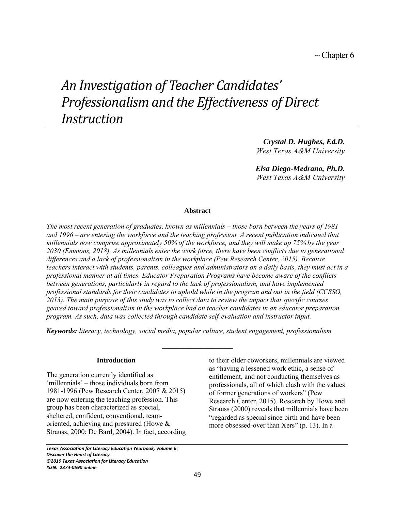# *An Investigation of Teacher Candidates' Professionalism and the Effectiveness of Direct Instruction*

*Crystal D. Hughes, Ed.D. West Texas A&M University*

*Elsa Diego-Medrano, Ph.D. West Texas A&M University*

## **Abstract**

*The most recent generation of graduates, known as millennials – those born between the years of 1981 and 1996 – are entering the workforce and the teaching profession. A recent publication indicated that millennials now comprise approximately 50% of the workforce, and they will make up 75% by the year 2030 (Emmons, 2018). As millennials enter the work force, there have been conflicts due to generational differences and a lack of professionalism in the workplace (Pew Research Center, 2015). Because teachers interact with students, parents, colleagues and administrators on a daily basis, they must act in a professional manner at all times. Educator Preparation Programs have become aware of the conflicts between generations, particularly in regard to the lack of professionalism, and have implemented professional standards for their candidates to uphold while in the program and out in the field (CCSSO, 2013). The main purpose of this study was to collect data to review the impact that specific courses geared toward professionalism in the workplace had on teacher candidates in an educator preparation program. As such, data was collected through candidate self-evaluation and instructor input.* 

*Keywords: literacy, technology, social media, popular culture, student engagement, professionalism*

**\_\_\_\_\_\_\_\_\_\_\_\_\_\_\_\_\_\_\_\_**

## **Introduction**

The generation currently identified as 'millennials' – those individuals born from 1981-1996 (Pew Research Center, 2007 & 2015) are now entering the teaching profession. This group has been characterized as special, sheltered, confident, conventional, teamoriented, achieving and pressured (Howe & Strauss, 2000; De Bard, 2004). In fact, according

*Texas Association for Literacy Education Yearbook, Volume 6: Discover the Heart of Literacy ©2019 Texas Association for Literacy Education ISSN: 2374-0590 online*

to their older coworkers, millennials are viewed as "having a lessened work ethic, a sense of entitlement, and not conducting themselves as professionals, all of which clash with the values of former generations of workers" (Pew Research Center, 2015). Research by Howe and Strauss (2000) reveals that millennials have been "regarded as special since birth and have been more obsessed-over than Xers" (p. 13). In a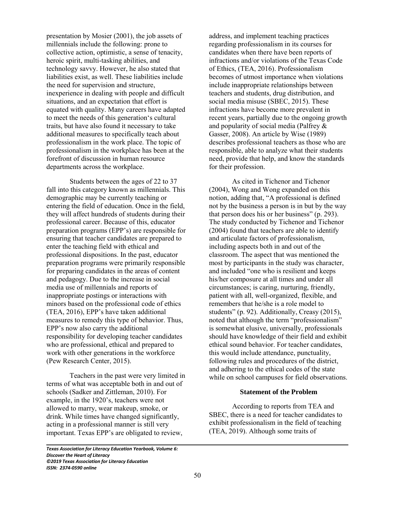presentation by Mosier (2001), the job assets of millennials include the following: prone to collective action, optimistic, a sense of tenacity, heroic spirit, multi-tasking abilities, and technology savvy. However, he also stated that liabilities exist, as well. These liabilities include the need for supervision and structure, inexperience in dealing with people and difficult situations, and an expectation that effort is equated with quality. Many careers have adapted to meet the needs of this generation's cultural traits, but have also found it necessary to take additional measures to specifically teach about professionalism in the work place. The topic of professionalism in the workplace has been at the forefront of discussion in human resource departments across the workplace.

 Students between the ages of 22 to 37 fall into this category known as millennials. This demographic may be currently teaching or entering the field of education. Once in the field, they will affect hundreds of students during their professional career. Because of this, educator preparation programs (EPP's) are responsible for ensuring that teacher candidates are prepared to enter the teaching field with ethical and professional dispositions. In the past, educator preparation programs were primarily responsible for preparing candidates in the areas of content and pedagogy. Due to the increase in social media use of millennials and reports of inappropriate postings or interactions with minors based on the professional code of ethics (TEA, 2016), EPP's have taken additional measures to remedy this type of behavior. Thus, EPP's now also carry the additional responsibility for developing teacher candidates who are professional, ethical and prepared to work with other generations in the workforce (Pew Research Center, 2015).

Teachers in the past were very limited in terms of what was acceptable both in and out of schools (Sadker and Zittleman, 2010). For example, in the 1920's, teachers were not allowed to marry, wear makeup, smoke, or drink. While times have changed significantly, acting in a professional manner is still very important. Texas EPP's are obligated to review,

*Texas Association for Literacy Education Yearbook, Volume 6: Discover the Heart of Literacy ©2019 Texas Association for Literacy Education ISSN: 2374-0590 online*

address, and implement teaching practices regarding professionalism in its courses for candidates when there have been reports of infractions and/or violations of the Texas Code of Ethics, (TEA, 2016). Professionalism becomes of utmost importance when violations include inappropriate relationships between teachers and students, drug distribution, and social media misuse (SBEC, 2015). These infractions have become more prevalent in recent years, partially due to the ongoing growth and popularity of social media (Palfrey & Gasser, 2008). An article by Wise (1989) describes professional teachers as those who are responsible, able to analyze what their students need, provide that help, and know the standards for their profession.

As cited in Tichenor and Tichenor (2004), Wong and Wong expanded on this notion, adding that, "A professional is defined not by the business a person is in but by the way that person does his or her business" (p. 293). The study conducted by Tichenor and Tichenor (2004) found that teachers are able to identify and articulate factors of professionalism, including aspects both in and out of the classroom. The aspect that was mentioned the most by participants in the study was character, and included "one who is resilient and keeps his/her composure at all times and under all circumstances; is caring, nurturing, friendly, patient with all, well-organized, flexible, and remembers that he/she is a role model to students" (p. 92). Additionally, Creasy (2015), noted that although the term "professionalism" is somewhat elusive, universally, professionals should have knowledge of their field and exhibit ethical sound behavior. For teacher candidates, this would include attendance, punctuality, following rules and procedures of the district, and adhering to the ethical codes of the state while on school campuses for field observations.

## **Statement of the Problem**

According to reports from TEA and SBEC, there is a need for teacher candidates to exhibit professionalism in the field of teaching (TEA, 2019). Although some traits of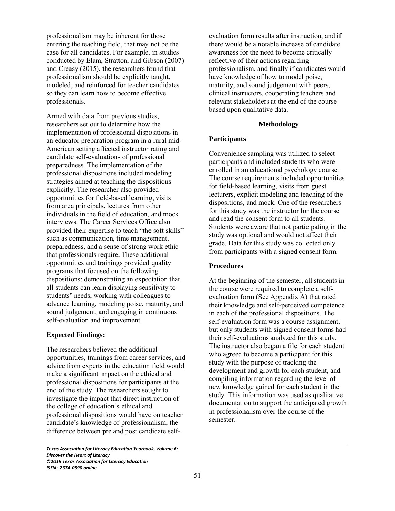professionalism may be inherent for those entering the teaching field, that may not be the case for all candidates. For example, in studies conducted by Elam, Stratton, and Gibson (2007) and Creasy (2015), the researchers found that professionalism should be explicitly taught, modeled, and reinforced for teacher candidates so they can learn how to become effective professionals.

Armed with data from previous studies, researchers set out to determine how the implementation of professional dispositions in an educator preparation program in a rural mid-American setting affected instructor rating and candidate self-evaluations of professional preparedness. The implementation of the professional dispositions included modeling strategies aimed at teaching the dispositions explicitly. The researcher also provided opportunities for field-based learning, visits from area principals, lectures from other individuals in the field of education, and mock interviews. The Career Services Office also provided their expertise to teach "the soft skills" such as communication, time management, preparedness, and a sense of strong work ethic that professionals require. These additional opportunities and trainings provided quality programs that focused on the following dispositions: demonstrating an expectation that all students can learn displaying sensitivity to students' needs, working with colleagues to advance learning, modeling poise, maturity, and sound judgement, and engaging in continuous self-evaluation and improvement.

## **Expected Findings:**

The researchers believed the additional opportunities, trainings from career services, and advice from experts in the education field would make a significant impact on the ethical and professional dispositions for participants at the end of the study. The researchers sought to investigate the impact that direct instruction of the college of education's ethical and professional dispositions would have on teacher candidate's knowledge of professionalism, the difference between pre and post candidate selfevaluation form results after instruction, and if there would be a notable increase of candidate awareness for the need to become critically reflective of their actions regarding professionalism, and finally if candidates would have knowledge of how to model poise, maturity, and sound judgement with peers, clinical instructors, cooperating teachers and relevant stakeholders at the end of the course based upon qualitative data.

## **Methodology**

# **Participants**

Convenience sampling was utilized to select participants and included students who were enrolled in an educational psychology course. The course requirements included opportunities for field-based learning, visits from guest lecturers, explicit modeling and teaching of the dispositions, and mock. One of the researchers for this study was the instructor for the course and read the consent form to all students. Students were aware that not participating in the study was optional and would not affect their grade. Data for this study was collected only from participants with a signed consent form.

## **Procedures**

At the beginning of the semester, all students in the course were required to complete a selfevaluation form (See Appendix A) that rated their knowledge and self-perceived competence in each of the professional dispositions. The self-evaluation form was a course assignment, but only students with signed consent forms had their self-evaluations analyzed for this study. The instructor also began a file for each student who agreed to become a participant for this study with the purpose of tracking the development and growth for each student, and compiling information regarding the level of new knowledge gained for each student in the study. This information was used as qualitative documentation to support the anticipated growth in professionalism over the course of the semester.

*Texas Association for Literacy Education Yearbook, Volume 6: Discover the Heart of Literacy ©2019 Texas Association for Literacy Education ISSN: 2374-0590 online*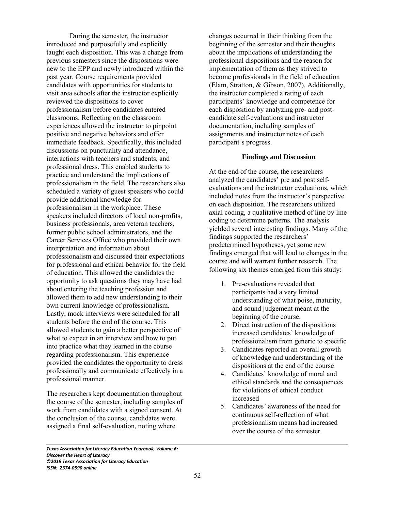During the semester, the instructor introduced and purposefully and explicitly taught each disposition. This was a change from previous semesters since the dispositions were new to the EPP and newly introduced within the past year. Course requirements provided candidates with opportunities for students to visit area schools after the instructor explicitly reviewed the dispositions to cover professionalism before candidates entered classrooms. Reflecting on the classroom experiences allowed the instructor to pinpoint positive and negative behaviors and offer immediate feedback. Specifically, this included discussions on punctuality and attendance, interactions with teachers and students, and professional dress. This enabled students to practice and understand the implications of professionalism in the field. The researchers also scheduled a variety of guest speakers who could provide additional knowledge for professionalism in the workplace. These speakers included directors of local non-profits, business professionals, area veteran teachers, former public school administrators, and the Career Services Office who provided their own interpretation and information about professionalism and discussed their expectations for professional and ethical behavior for the field of education. This allowed the candidates the opportunity to ask questions they may have had about entering the teaching profession and allowed them to add new understanding to their own current knowledge of professionalism. Lastly, mock interviews were scheduled for all students before the end of the course. This allowed students to gain a better perspective of what to expect in an interview and how to put into practice what they learned in the course regarding professionalism. This experience provided the candidates the opportunity to dress professionally and communicate effectively in a professional manner.

The researchers kept documentation throughout the course of the semester, including samples of work from candidates with a signed consent. At the conclusion of the course, candidates were assigned a final self-evaluation, noting where

changes occurred in their thinking from the beginning of the semester and their thoughts about the implications of understanding the professional dispositions and the reason for implementation of them as they strived to become professionals in the field of education (Elam, Stratton, & Gibson, 2007). Additionally, the instructor completed a rating of each participants' knowledge and competence for each disposition by analyzing pre- and postcandidate self-evaluations and instructor documentation, including samples of assignments and instructor notes of each participant's progress.

## **Findings and Discussion**

At the end of the course, the researchers analyzed the candidates' pre and post selfevaluations and the instructor evaluations, which included notes from the instructor's perspective on each disposition. The researchers utilized axial coding, a qualitative method of line by line coding to determine patterns. The analysis yielded several interesting findings. Many of the findings supported the researchers' predetermined hypotheses, yet some new findings emerged that will lead to changes in the course and will warrant further research. The following six themes emerged from this study:

- 1. Pre-evaluations revealed that participants had a very limited understanding of what poise, maturity, and sound judgement meant at the beginning of the course.
- 2. Direct instruction of the dispositions increased candidates' knowledge of professionalism from generic to specific
- 3. Candidates reported an overall growth of knowledge and understanding of the dispositions at the end of the course
- 4. Candidates' knowledge of moral and ethical standards and the consequences for violations of ethical conduct increased
- 5. Candidates' awareness of the need for continuous self-reflection of what professionalism means had increased over the course of the semester.

*Texas Association for Literacy Education Yearbook, Volume 6: Discover the Heart of Literacy ©2019 Texas Association for Literacy Education ISSN: 2374-0590 online*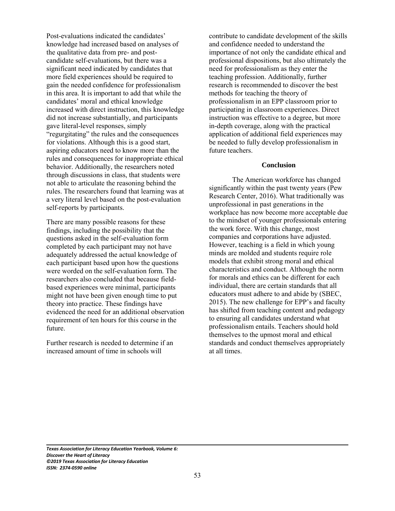Post-evaluations indicated the candidates' knowledge had increased based on analyses of the qualitative data from pre- and postcandidate self-evaluations, but there was a significant need indicated by candidates that more field experiences should be required to gain the needed confidence for professionalism in this area. It is important to add that while the candidates' moral and ethical knowledge increased with direct instruction, this knowledge did not increase substantially, and participants gave literal-level responses, simply "regurgitating" the rules and the consequences for violations. Although this is a good start, aspiring educators need to know more than the rules and consequences for inappropriate ethical behavior. Additionally, the researchers noted through discussions in class, that students were not able to articulate the reasoning behind the rules. The researchers found that learning was at a very literal level based on the post-evaluation self-reports by participants.

There are many possible reasons for these findings, including the possibility that the questions asked in the self-evaluation form completed by each participant may not have adequately addressed the actual knowledge of each participant based upon how the questions were worded on the self-evaluation form. The researchers also concluded that because fieldbased experiences were minimal, participants might not have been given enough time to put theory into practice. These findings have evidenced the need for an additional observation requirement of ten hours for this course in the future.

Further research is needed to determine if an increased amount of time in schools will

contribute to candidate development of the skills and confidence needed to understand the importance of not only the candidate ethical and professional dispositions, but also ultimately the need for professionalism as they enter the teaching profession. Additionally, further research is recommended to discover the best methods for teaching the theory of professionalism in an EPP classroom prior to participating in classroom experiences. Direct instruction was effective to a degree, but more in-depth coverage, along with the practical application of additional field experiences may be needed to fully develop professionalism in future teachers.

#### **Conclusion**

The American workforce has changed significantly within the past twenty years (Pew Research Center, 2016). What traditionally was unprofessional in past generations in the workplace has now become more acceptable due to the mindset of younger professionals entering the work force. With this change, most companies and corporations have adjusted. However, teaching is a field in which young minds are molded and students require role models that exhibit strong moral and ethical characteristics and conduct. Although the norm for morals and ethics can be different for each individual, there are certain standards that all educators must adhere to and abide by (SBEC, 2015). The new challenge for EPP's and faculty has shifted from teaching content and pedagogy to ensuring all candidates understand what professionalism entails. Teachers should hold themselves to the upmost moral and ethical standards and conduct themselves appropriately at all times.